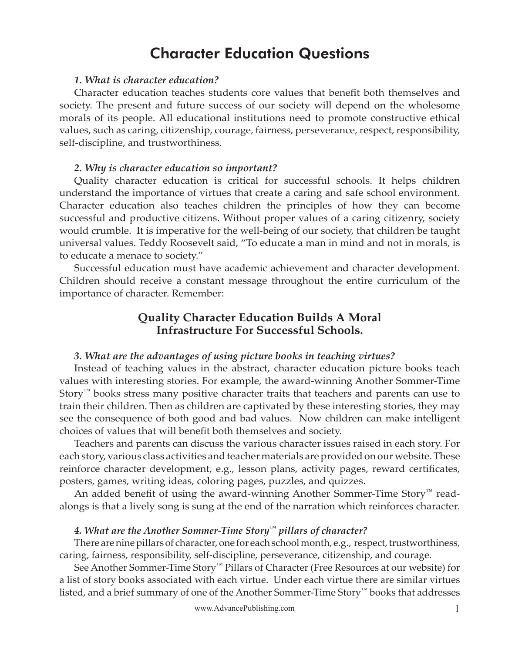# Character Education Questions

#### *1. What is character education?*

Character education teaches students core values that benefit both themselves and society. The present and future success of our society will depend on the wholesome morals of its people. All educational institutions need to promote constructive ethical values, such as caring, citizenship, courage, fairness, perseverance, respect, responsibility, self-discipline, and trustworthiness.

#### *2. Why is character education so important?*

Quality character education is critical for successful schools. It helps children understand the importance of virtues that create a caring and safe school environment. Character education also teaches children the principles of how they can become successful and productive citizens. Without proper values of a caring citizenry, society would crumble. It is imperative for the well-being of our society, that children be taught universal values. Teddy Roosevelt said, "To educate a man in mind and not in morals, is to educate a menace to society."

Successful education must have academic achievement and character development. Children should receive a constant message throughout the entire curriculum of the importance of character. Remember:

# **Quality Character Education Builds A Moral Infrastructure For Successful Schools.**

#### *3. What are the advantages of using picture books in teaching virtues?*

Instead of teaching values in the abstract, character education picture books teach values with interesting stories. For example, the award-winning Another Sommer-Time Story™ books stress many positive character traits that teachers and parents can use to train their children. Then as children are captivated by these interesting stories, they may see the consequence of both good and bad values. Now children can make intelligent choices of values that will benefit both themselves and society.

Teachers and parents can discuss the various character issues raised in each story. For each story, various class activities and teacher materials are provided on our website. These reinforce character development, e.g., lesson plans, activity pages, reward certificates, posters, games, writing ideas, coloring pages, puzzles, and quizzes.

An added benefit of using the award-winning Another Sommer-Time Story<sup>™</sup> readalongs is that a lively song is sung at the end of the narration which reinforces character.

# *4. What are the Another Sommer-Time Story™ pillars of character?*

There are nine pillars of character, one for each school month, e.g., respect, trustworthiness, caring, fairness, responsibility, self-discipline, perseverance, citizenship, and courage.

See Another Sommer-Time Story<sup>™</sup> Pillars of Character (Free Resources at our website) for a list of story books associated with each virtue. Under each virtue there are similar virtues listed, and a brief summary of one of the Another Sommer-Time Story™ books that addresses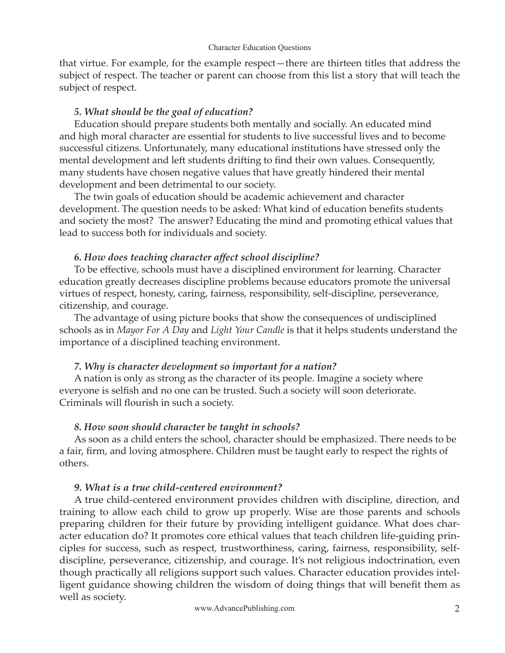that virtue. For example, for the example respect—there are thirteen titles that address the subject of respect. The teacher or parent can choose from this list a story that will teach the subject of respect.

### *5. What should be the goal of education?*

Education should prepare students both mentally and socially. An educated mind and high moral character are essential for students to live successful lives and to become successful citizens. Unfortunately, many educational institutions have stressed only the mental development and left students drifting to find their own values. Consequently, many students have chosen negative values that have greatly hindered their mental development and been detrimental to our society.

The twin goals of education should be academic achievement and character development. The question needs to be asked: What kind of education benefits students and society the most? The answer? Educating the mind and promoting ethical values that lead to success both for individuals and society.

### *6. How does teaching character aff ect school discipline?*

To be effective, schools must have a disciplined environment for learning. Character education greatly decreases discipline problems because educators promote the universal virtues of respect, honesty, caring, fairness, responsibility, self-discipline, perseverance, citizenship, and courage.

The advantage of using picture books that show the consequences of undisciplined schools as in *Mayor For A Day* and *Light Your Candle* is that it helps students understand the importance of a disciplined teaching environment.

# *7. Why is character development so important for a nation?*

A nation is only as strong as the character of its people. Imagine a society where everyone is selfish and no one can be trusted. Such a society will soon deteriorate. Criminals will flourish in such a society.

# *8. How soon should character be taught in schools?*

As soon as a child enters the school, character should be emphasized. There needs to be a fair, firm, and loving atmosphere. Children must be taught early to respect the rights of others.

# *9. What is a true child-centered environment?*

A true child-centered environment provides children with discipline, direction, and training to allow each child to grow up properly. Wise are those parents and schools preparing children for their future by providing intelligent guidance. What does character education do? It promotes core ethical values that teach children life-guiding principles for success, such as respect, trustworthiness, caring, fairness, responsibility, selfdiscipline, perseverance, citizenship, and courage. It's not religious indoctrination, even though practically all religions support such values. Character education provides intelligent guidance showing children the wisdom of doing things that will benefit them as well as society.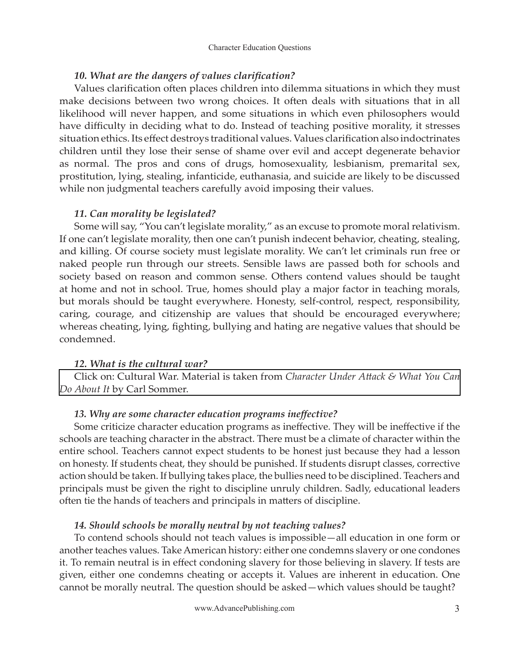#### 10. What are the dangers of values clarification?

Values clarification often places children into dilemma situations in which they must make decisions between two wrong choices. It often deals with situations that in all likelihood will never happen, and some situations in which even philosophers would have difficulty in deciding what to do. Instead of teaching positive morality, it stresses situation ethics. Its effect destroys traditional values. Values clarification also indoctrinates children until they lose their sense of shame over evil and accept degenerate behavior as normal. The pros and cons of drugs, homosexuality, lesbianism, premarital sex, prostitution, lying, stealing, infanticide, euthanasia, and suicide are likely to be discussed while non judgmental teachers carefully avoid imposing their values.

### *11. Can morality be legislated?*

Some will say, "You can't legislate morality," as an excuse to promote moral relativism. If one can't legislate morality, then one can't punish indecent behavior, cheating, stealing, and killing. Of course society must legislate morality. We can't let criminals run free or naked people run through our streets. Sensible laws are passed both for schools and society based on reason and common sense. Others contend values should be taught at home and not in school. True, homes should play a major factor in teaching morals, but morals should be taught everywhere. Honesty, self-control, respect, responsibility, caring, courage, and citizenship are values that should be encouraged everywhere; whereas cheating, lying, fighting, bullying and hating are negative values that should be condemned.

### *12. What is the cultural war?*

Click on: Cultural War. Material is taken from *Character Under Attack & What You Can Do About It* by Carl Sommer.

### 13. Why are some character education programs ineffective?

Some criticize character education programs as ineffective. They will be ineffective if the schools are teaching character in the abstract. There must be a climate of character within the entire school. Teachers cannot expect students to be honest just because they had a lesson on honesty. If students cheat, they should be punished. If students disrupt classes, corrective action should be taken. If bullying takes place, the bullies need to be disciplined. Teachers and principals must be given the right to discipline unruly children. Sadly, educational leaders often tie the hands of teachers and principals in matters of discipline.

### *14. Should schools be morally neutral by not teaching values?*

To contend schools should not teach values is impossible—all education in one form or another teaches values. Take American history: either one condemns slavery or one condones it. To remain neutral is in effect condoning slavery for those believing in slavery. If tests are given, either one condemns cheating or accepts it. Values are inherent in education. One cannot be morally neutral. The question should be asked—which values should be taught?